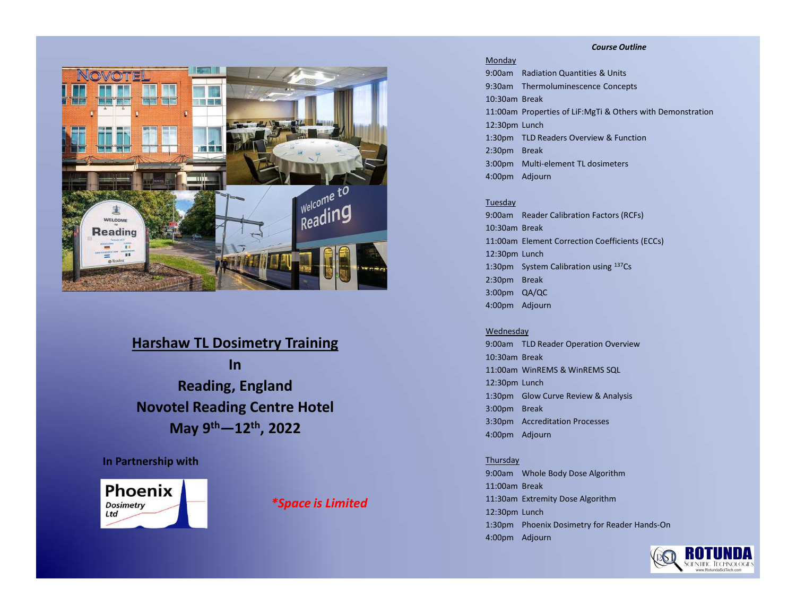#### Course Outline



Harshaw TL Dosimetry Training **In In the set of the set of the set of the set of the set of the set of the set of the set of the set of the set of the set of the set of the set of the set of the set of the set of the set of the set of the set of the** Reading, England Novotel Reading Centre Hotel May 9th—12th, 2022

## In Partnership with



\*Space is Limited

#### Monday

9:00am Radiation Quantities & Units 9:30am Thermoluminescence Concepts 10:30am Break **Course Outline**<br>
19:00am Radiation Quantities & Units<br>
19:30am Thermoluminescence Concepts<br>
10:30am Break<br>
11:00am Properties of LiF:MgTi & Others with Demonstration<br>
12:30pm Lunch<br>
1:30pm TLD Readers Overview & Function<br> 12:30pm Lunch 1:30pm TLD Readers Overview & Function 2:30pm Break 3:00pm Multi-element TL dosimeters 4:00pm Adjourn

### Tuesday

9:00am Reader Calibration Factors (RCFs) 10:30am Break 11:00am Element Correction Coefficients (ECCs) 12:30pm Lunch 1:30pm System Calibration using 137Cs 2:30pm Break 3:00pm QA/QC 4:00pm Adjourn 12:30pm Lunch<br>1:30pm TLD Readers Overview & Function<br>2:30pm Break<br>3:00pm Multi-element TL dosimeters<br>4:00pm Adjourn<br>10:00am Reader Calibration Factors (RCFs)<br>10:30am Reader Calibration Lactors (RCFs)<br>11:30pm Lunch<br>11:30pm

#### **Wednesday**

9:00am TLD Reader Operation Overview 10:30am Break 12:30pm Lunch 1:30pm Glow Curve Review & Analysis 3:00pm Break 3:30pm Accreditation Processes 4:00pm Adjourn

#### Thursday

9:00am Whole Body Dose Algorithm 11:00am Break 11:30am Extremity Dose Algorithm 12:30pm Lunch 1:30pm Phoenix Dosimetry for Reader Hands-On 4:00pm Adjourn